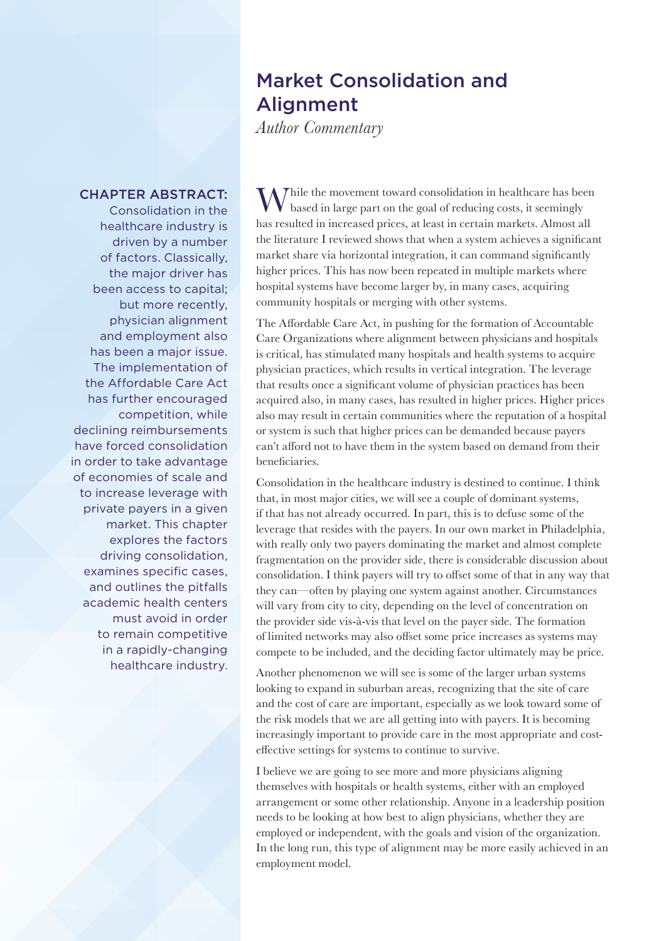## Market Consolidation and Alignment

*Author Commentary*

## CHAPTER ABSTRACT:

Consolidation in the healthcare industry is driven by a number of factors. Classically, the major driver has been access to capital; but more recently, physician alignment and employment also has been a major issue. The implementation of the Affordable Care Act has further encouraged competition, while declining reimbursements have forced consolidation in order to take advantage of economies of scale and to increase leverage with private payers in a given market. This chapter explores the factors driving consolidation, examines specific cases, and outlines the pitfalls academic health centers must avoid in order to remain competitive in a rapidly-changing healthcare industry.

While the movement toward consolidation in healthcare has been based in large part on the goal of reducing costs, it seemingly has resulted in increased prices, at least in certain markets. Almost all the literature I reviewed shows that when a system achieves a significant market share via horizontal integration, it can command significantly higher prices. This has now been repeated in multiple markets where hospital systems have become larger by, in many cases, acquiring community hospitals or merging with other systems.

The Affordable Care Act, in pushing for the formation of Accountable Care Organizations where alignment between physicians and hospitals is critical, has stimulated many hospitals and health systems to acquire physician practices, which results in vertical integration. The leverage that results once a significant volume of physician practices has been acquired also, in many cases, has resulted in higher prices. Higher prices also may result in certain communities where the reputation of a hospital or system is such that higher prices can be demanded because payers can't afford not to have them in the system based on demand from their beneficiaries.

Consolidation in the healthcare industry is destined to continue. I think that, in most major cities, we will see a couple of dominant systems, if that has not already occurred. In part, this is to defuse some of the leverage that resides with the payers. In our own market in Philadelphia, with really only two payers dominating the market and almost complete fragmentation on the provider side, there is considerable discussion about consolidation. I think payers will try to offset some of that in any way that they can—often by playing one system against another. Circumstances will vary from city to city, depending on the level of concentration on the provider side vis-à-vis that level on the payer side. The formation of limited networks may also offset some price increases as systems may compete to be included, and the deciding factor ultimately may be price.

Another phenomenon we will see is some of the larger urban systems looking to expand in suburban areas, recognizing that the site of care and the cost of care are important, especially as we look toward some of the risk models that we are all getting into with payers. It is becoming increasingly important to provide care in the most appropriate and costeffective settings for systems to continue to survive.

I believe we are going to see more and more physicians aligning themselves with hospitals or health systems, either with an employed arrangement or some other relationship. Anyone in a leadership position needs to be looking at how best to align physicians, whether they are employed or independent, with the goals and vision of the organization. In the long run, this type of alignment may be more easily achieved in an employment model.